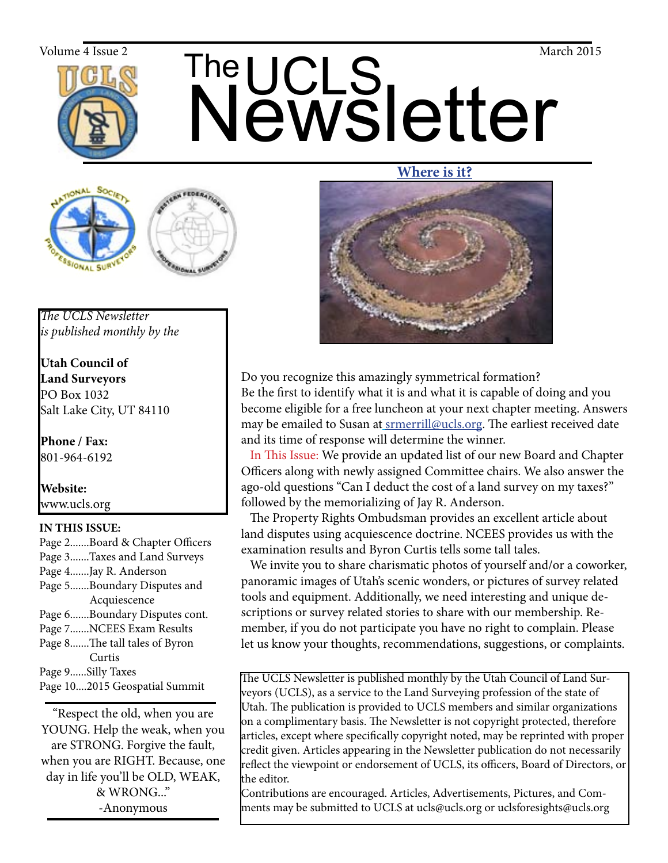

# The UCLS<br>Newsletter Volume 4 Issue 2  $\mathsf{The}$   $\mathsf{C}_1$   $\mathsf{C}_2$  March 2015

## **Where is it?**



Do you recognize this amazingly symmetrical formation? Be the first to identify what it is and what it is capable of doing and you become eligible for a free luncheon at your next chapter meeting. Answers may be emailed to Susan at **srmerrill@ucls.org**. The earliest received date and its time of response will determine the winner.

 In This Issue: We provide an updated list of our new Board and Chapter Officers along with newly assigned Committee chairs. We also answer the ago-old questions "Can I deduct the cost of a land survey on my taxes?" followed by the memorializing of Jay R. Anderson.

 The Property Rights Ombudsman provides an excellent article about land disputes using acquiescence doctrine. NCEES provides us with the examination results and Byron Curtis tells some tall tales.

 We invite you to share charismatic photos of yourself and/or a coworker, panoramic images of Utah's scenic wonders, or pictures of survey related tools and equipment. Additionally, we need interesting and unique descriptions or survey related stories to share with our membership. Remember, if you do not participate you have no right to complain. Please let us know your thoughts, recommendations, suggestions, or complaints.

The UCLS Newsletter is published monthly by the Utah Council of Land Surveyors (UCLS), as a service to the Land Surveying profession of the state of Utah. The publication is provided to UCLS members and similar organizations on a complimentary basis. The Newsletter is not copyright protected, therefore articles, except where specifically copyright noted, may be reprinted with proper credit given. Articles appearing in the Newsletter publication do not necessarily reflect the viewpoint or endorsement of UCLS, its officers, Board of Directors, or the editor.

Contributions are encouraged. Articles, Advertisements, Pictures, and Comments may be submitted to UCLS at ucls@ucls.org or uclsforesights@ucls.org

*The UCLS Newsletter is published monthly by the*

**Utah Council of Land Surveyors** PO Box 1032 Salt Lake City, UT 84110

**Phone / Fax:**  801-964-6192

**Website:** www.ucls.org

## **IN THIS ISSUE:**

Page 2.......Board & Chapter Officers Page 3.......Taxes and Land Surveys Page 4.......Jay R. Anderson Page 5.......Boundary Disputes and Acquiescence Page 6.......Boundary Disputes cont. Page 7.......NCEES Exam Results Page 8.......The tall tales of Byron Curtis Page 9......Silly Taxes Page 10....2015 Geospatial Summit

"Respect the old, when you are YOUNG. Help the weak, when you are STRONG. Forgive the fault, when you are RIGHT. Because, one day in life you'll be OLD, WEAK, & WRONG..." -Anonymous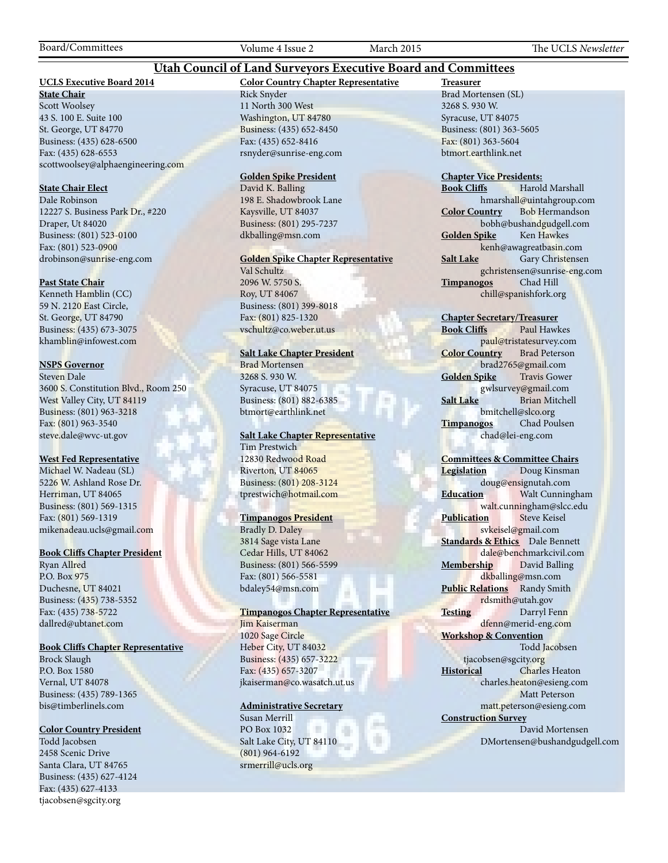## **Utah Council of Land Surveyors Executive Board and Committees**

## **UCLS Executive Board 2014**

**State Chair** Scott Woolsey 43 S. 100 E. Suite 100 St. George, UT 84770 Business: (435) 628-6500 Fax: (435) 628-6553 scottwoolsey@alphaengineering.com

## **State Chair Elect**

Dale Robinson 12227 S. Business Park Dr., #220 Draper, Ut 84020 Business: (801) 523-0100 Fax: (801) 523-0900 drobinson@sunrise-eng.com

#### **Past State Chair**

Kenneth Hamblin (CC) 59 N. 2120 East Circle, St. George, UT 84790 Business: (435) 673-3075 khamblin@infowest.com

## **NSPS Governor**

Steven Dale 3600 S. Constitution Blvd., Room 250 West Valley City, UT 84119 Business: (801) 963-3218 Fax: (801) 963-3540 steve.dale@wvc-ut.gov

#### **West Fed Representative**

Michael W. Nadeau (SL) 5226 W. Ashland Rose Dr. Herriman, UT 84065 Business: (801) 569-1315 Fax: (801) 569-1319 mikenadeau.ucls@gmail.com

#### **Book Cliffs Chapter President**

Ryan Allred P.O. Box 975 Duchesne, UT 84021 Business: (435) 738-5352 Fax: (435) 738-5722 dallred@ubtanet.com

## **Book Cliffs Chapter Representative**

Brock Slaugh P.O. Box 1580 Vernal, UT 84078 Business: (435) 789-1365 bis@timberlinels.com

#### **Color Country President**

Todd Jacobsen 2458 Scenic Drive Santa Clara, UT 84765 Business: (435) 627-4124 Fax: (435) 627-4133 tjacobsen@sgcity.org

**Color Country Chapter Representative** Rick Snyder 11 North 300 West Washington, UT 84780 Business: (435) 652-8450 Fax: (435) 652-8416 rsnyder@sunrise-eng.com

#### **Golden Spike President**

David K. Balling 198 E. Shadowbrook Lane Kaysville, UT 84037 Business: (801) 295-7237 dkballing@msn.com

## **Golden Spike Chapter Representative**

Val Schultz 2096 W. 5750 S. Roy, UT 84067 Business: (801) 399-8018 Fax: (801) 825-1320 vschultz@co.weber.ut.us

#### **Salt Lake Chapter President**

Brad Mortensen 3268 S. 930 W. Syracuse, UT 84075 Business: (801) 882-6385 btmort@earthlink.net

#### **Salt Lake Chapter Representative**

Tim Prestwich 12830 Redwood Road Riverton, UT 84065 Business: (801) 208-3124 tprestwich@hotmail.com

#### **Timpanogos President**

Bradly D. Daley 3814 Sage vista Lane Cedar Hills, UT 84062 Business: (801) 566-5599 Fax: (801) 566-5581 bdaley54@msn.com

#### **Timpanogos Chapter Representative**

Jim Kaiserman 1020 Sage Circle Heber City, UT 84032 Business: (435) 657-3222 Fax: (435) 657-3207 jkaiserman@co.wasatch.ut.us

## **Administrative Secretary**

Susan Merrill PO Box 1032 × Salt Lake City, UT 84110 (801) 964-6192 srmerrill@ucls.org

**Treasurer** Brad Mortensen (SL) 3268 S. 930 W. Syracuse, UT 84075 Business: (801) 363-5605 Fax: (801) 363-5604 btmort.earthlink.net

# **Chapter Vice Presidents:**

**Harold Marshall** hmarshall@uintahgroup.com **Color Country** Bob Hermandson bobh@bushandgudgell.com **Golden Spike** Ken Hawkes kenh@awagreatbasin.com **Salt Lake** Gary Christensen gchristensen@sunrise-eng.com **Timpanogos** Chad Hill chill@spanishfork.org

#### **Chapter Secretary/Treasurer**

**Book Cliffs** Paul Hawkes paul@tristatesurvey.com **Color Country** Brad Peterson brad2765@gmail.com **Golden Spike** Travis Gower gwlsurvey@gmail.com **Salt Lake** Brian Mitchell bmitchell@slco.org **Timpanogos** Chad Poulsen chad@lei-eng.com

#### **Committees & Committee Chairs**

**Legislation** Doug Kinsman doug@ensignutah.com **Education** Walt Cunningham walt.cunningham@slcc.edu **Publication** Steve Keisel svkeisel@gmail.com **Standards & Ethics** Dale Bennett dale@benchmarkcivil.com **Membership** David Balling dkballing@msn.com **Public Relations** Randy Smith rdsmith@utah.gov **Testing** Darryl Fenn dfenn@merid-eng.com **Workshop & Convention** Todd Jacobsen tjacobsen@sgcity.org **Historical** Charles Heaton charles.heaton@esieng.com Matt Peterson matt.peterson@esieng.com **Construction Survey** David Mortensen DMortensen@bushandgudgell.com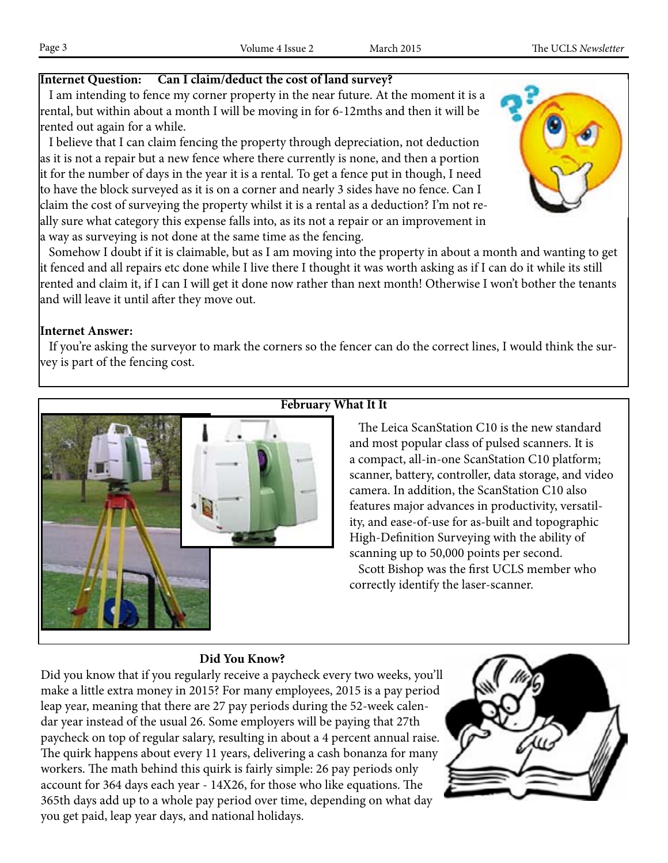## **Internet Question: Can I claim/deduct the cost of land survey?**

 I am intending to fence my corner property in the near future. At the moment it is a rental, but within about a month I will be moving in for 6-12mths and then it will be rented out again for a while.

 I believe that I can claim fencing the property through depreciation, not deduction as it is not a repair but a new fence where there currently is none, and then a portion it for the number of days in the year it is a rental. To get a fence put in though, I need to have the block surveyed as it is on a corner and nearly 3 sides have no fence. Can I claim the cost of surveying the property whilst it is a rental as a deduction? I'm not really sure what category this expense falls into, as its not a repair or an improvement in a way as surveying is not done at the same time as the fencing.



 Somehow I doubt if it is claimable, but as I am moving into the property in about a month and wanting to get it fenced and all repairs etc done while I live there I thought it was worth asking as if I can do it while its still rented and claim it, if I can I will get it done now rather than next month! Otherwise I won't bother the tenants and will leave it until after they move out.

## **Internet Answer:**

 If you're asking the surveyor to mark the corners so the fencer can do the correct lines, I would think the survey is part of the fencing cost.



## **February What It It**

 The Leica ScanStation C10 is the new standard and most popular class of pulsed scanners. It is a compact, all-in-one ScanStation C10 platform; scanner, battery, controller, data storage, and video camera. In addition, the ScanStation C10 also features major advances in productivity, versatility, and ease-of-use for as-built and topographic High-Definition Surveying with the ability of scanning up to 50,000 points per second.

 Scott Bishop was the first UCLS member who correctly identify the laser-scanner.

## **Did You Know?**

Did you know that if you regularly receive a paycheck every two weeks, you'll make a little extra money in 2015? For many employees, 2015 is a pay period leap year, meaning that there are 27 pay periods during the 52-week calendar year instead of the usual 26. Some employers will be paying that 27th paycheck on top of regular salary, resulting in about a 4 percent annual raise. The quirk happens about every 11 years, delivering a cash bonanza for many workers. The math behind this quirk is fairly simple: 26 pay periods only account for 364 days each year - 14X26, for those who like equations. The 365th days add up to a whole pay period over time, depending on what day you get paid, leap year days, and national holidays.

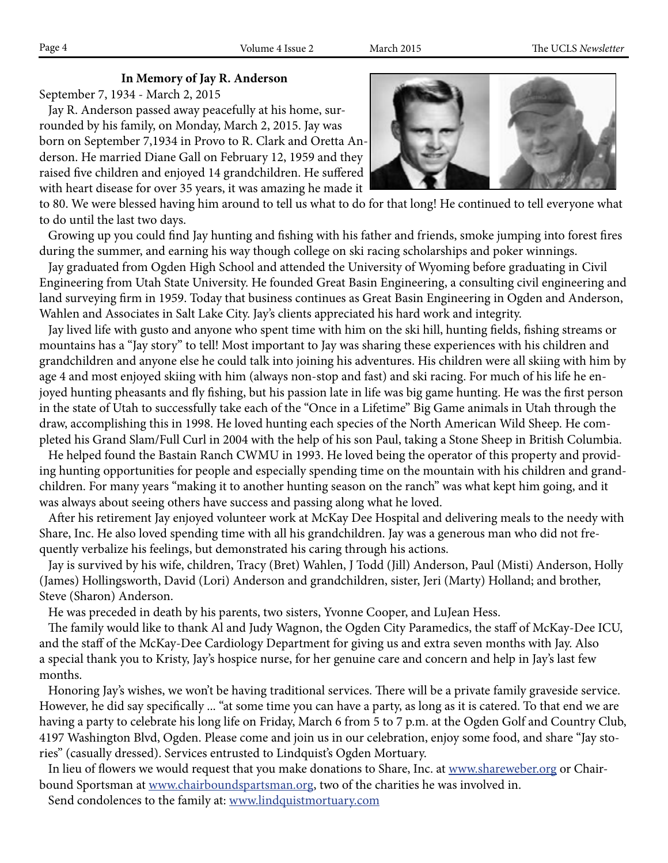## **In Memory of Jay R. Anderson**

September 7, 1934 - March 2, 2015

 Jay R. Anderson passed away peacefully at his home, surrounded by his family, on Monday, March 2, 2015. Jay was born on September 7,1934 in Provo to R. Clark and Oretta Anderson. He married Diane Gall on February 12, 1959 and they raised five children and enjoyed 14 grandchildren. He suffered with heart disease for over 35 years, it was amazing he made it



to 80. We were blessed having him around to tell us what to do for that long! He continued to tell everyone what to do until the last two days.

 Growing up you could find Jay hunting and fishing with his father and friends, smoke jumping into forest fires during the summer, and earning his way though college on ski racing scholarships and poker winnings.

 Jay graduated from Ogden High School and attended the University of Wyoming before graduating in Civil Engineering from Utah State University. He founded Great Basin Engineering, a consulting civil engineering and land surveying firm in 1959. Today that business continues as Great Basin Engineering in Ogden and Anderson, Wahlen and Associates in Salt Lake City. Jay's clients appreciated his hard work and integrity.

 Jay lived life with gusto and anyone who spent time with him on the ski hill, hunting fields, fishing streams or mountains has a "Jay story" to tell! Most important to Jay was sharing these experiences with his children and grandchildren and anyone else he could talk into joining his adventures. His children were all skiing with him by age 4 and most enjoyed skiing with him (always non-stop and fast) and ski racing. For much of his life he enjoyed hunting pheasants and fly fishing, but his passion late in life was big game hunting. He was the first person in the state of Utah to successfully take each of the "Once in a Lifetime" Big Game animals in Utah through the draw, accomplishing this in 1998. He loved hunting each species of the North American Wild Sheep. He completed his Grand Slam/Full Curl in 2004 with the help of his son Paul, taking a Stone Sheep in British Columbia.

 He helped found the Bastain Ranch CWMU in 1993. He loved being the operator of this property and providing hunting opportunities for people and especially spending time on the mountain with his children and grandchildren. For many years "making it to another hunting season on the ranch" was what kept him going, and it was always about seeing others have success and passing along what he loved.

 After his retirement Jay enjoyed volunteer work at McKay Dee Hospital and delivering meals to the needy with Share, Inc. He also loved spending time with all his grandchildren. Jay was a generous man who did not frequently verbalize his feelings, but demonstrated his caring through his actions.

 Jay is survived by his wife, children, Tracy (Bret) Wahlen, J Todd (Jill) Anderson, Paul (Misti) Anderson, Holly (James) Hollingsworth, David (Lori) Anderson and grandchildren, sister, Jeri (Marty) Holland; and brother, Steve (Sharon) Anderson.

He was preceded in death by his parents, two sisters, Yvonne Cooper, and LuJean Hess.

 The family would like to thank Al and Judy Wagnon, the Ogden City Paramedics, the staff of McKay-Dee ICU, and the staff of the McKay-Dee Cardiology Department for giving us and extra seven months with Jay. Also a special thank you to Kristy, Jay's hospice nurse, for her genuine care and concern and help in Jay's last few months.

 Honoring Jay's wishes, we won't be having traditional services. There will be a private family graveside service. However, he did say specifically ... "at some time you can have a party, as long as it is catered. To that end we are having a party to celebrate his long life on Friday, March 6 from 5 to 7 p.m. at the Ogden Golf and Country Club, 4197 Washington Blvd, Ogden. Please come and join us in our celebration, enjoy some food, and share "Jay stories" (casually dressed). Services entrusted to Lindquist's Ogden Mortuary.

In lieu of flowers we would request that you make donations to Share, Inc. at www.shareweber.org or Chairbound Sportsman at www.chairboundspartsman.org, two of the charities he was involved in.

Send condolences to the family at: www.lindquistmortuary.com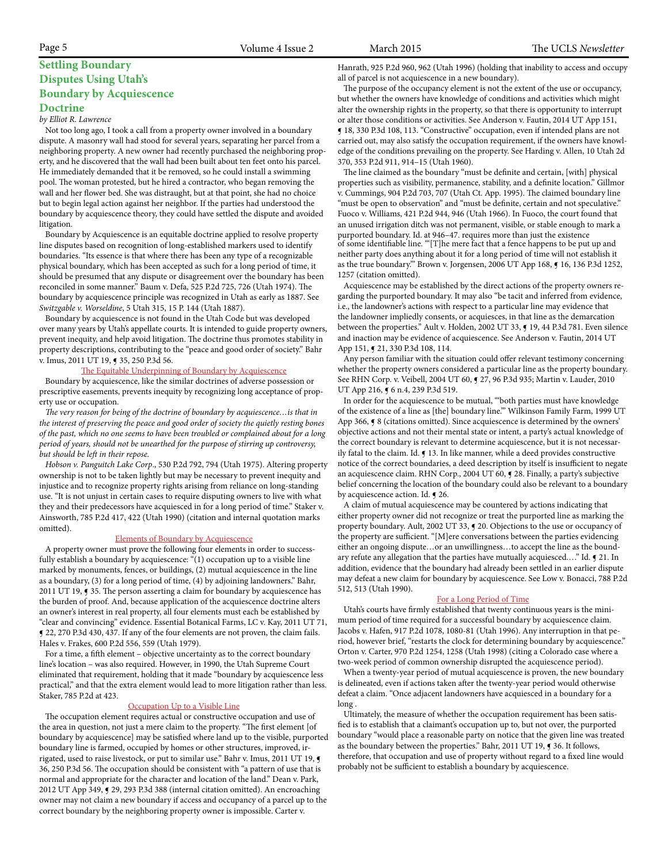## **Settling Boundary Disputes Using Utah's Boundary by Acquiescence Doctrine**

#### *by Elliot R. Lawrence*

 Not too long ago, I took a call from a property owner involved in a boundary dispute. A masonry wall had stood for several years, separating her parcel from a neighboring property. A new owner had recently purchased the neighboring property, and he discovered that the wall had been built about ten feet onto his parcel. He immediately demanded that it be removed, so he could install a swimming pool. The woman protested, but he hired a contractor, who began removing the wall and her flower bed. She was distraught, but at that point, she had no choice but to begin legal action against her neighbor. If the parties had understood the boundary by acquiescence theory, they could have settled the dispute and avoided litigation.

 Boundary by Acquiescence is an equitable doctrine applied to resolve property line disputes based on recognition of long-established markers used to identify boundaries. "Its essence is that where there has been any type of a recognizable physical boundary, which has been accepted as such for a long period of time, it should be presumed that any dispute or disagreement over the boundary has been reconciled in some manner." Baum v. Defa, 525 P.2d 725, 726 (Utah 1974). The boundary by acquiescence principle was recognized in Utah as early as 1887. See *Switzgable v. Worseldine*, 5 Utah 315, 15 P. 144 (Utah 1887).

 Boundary by acquiescence is not found in the Utah Code but was developed over many years by Utah's appellate courts. It is intended to guide property owners, prevent inequity, and help avoid litigation. The doctrine thus promotes stability in property descriptions, contributing to the "peace and good order of society." Bahr v. Imus, 2011 UT 19, ¶ 35, 250 P.3d 56.

#### The Equitable Underpinning of Boundary by Acquiescence

 Boundary by acquiescence, like the similar doctrines of adverse possession or prescriptive easements, prevents inequity by recognizing long acceptance of property use or occupation.

 *The very reason for being of the doctrine of boundary by acquiescence…is that in the interest of preserving the peace and good order of society the quietly resting bones of the past, which no one seems to have been troubled or complained about for a long period of years, should not be unearthed for the purpose of stirring up controversy, but should be left in their repose.*

Ainsworth, 785 P.2d 417, 422 (Utah 1990) (citation and internal quotation marks omitted).  *Hobson v. Panguitch Lake Corp*., 530 P.2d 792, 794 (Utah 1975). Altering property ownership is not to be taken lightly but may be necessary to prevent inequity and injustice and to recognize property rights arising from reliance on long-standing use. "It is not unjust in certain cases to require disputing owners to live with what they and their predecessors have acquiesced in for a long period of time." Staker v.

#### Elements of Boundary by Acquiescence

 A property owner must prove the following four elements in order to successfully establish a boundary by acquiescence: "(1) occupation up to a visible line marked by monuments, fences, or buildings, (2) mutual acquiescence in the line as a boundary, (3) for a long period of time, (4) by adjoining landowners." Bahr, 2011 UT 19,  $\sqrt{3}$  35. The person asserting a claim for boundary by acquiescence has the burden of proof. And, because application of the acquiescence doctrine alters an owner's interest in real property, all four elements must each be established by "clear and convincing" evidence. Essential Botanical Farms, LC v. Kay, 2011 UT 71, ¶ 22, 270 P.3d 430, 437. If any of the four elements are not proven, the claim fails. Hales v. Frakes, 600 P.2d 556, 559 (Utah 1979).

 For a time, a fifth element – objective uncertainty as to the correct boundary line's location – was also required. However, in 1990, the Utah Supreme Court eliminated that requirement, holding that it made "boundary by acquiescence less practical," and that the extra element would lead to more litigation rather than less. Staker, 785 P.2d at 423.

#### Occupation Up to a Visible Line

 The occupation element requires actual or constructive occupation and use of the area in question, not just a mere claim to the property. "The first element [of boundary by acquiescence] may be satisfied where land up to the visible, purported boundary line is farmed, occupied by homes or other structures, improved, irrigated, used to raise livestock, or put to similar use." Bahr v. Imus, 2011 UT 19, ¶ 36, 250 P.3d 56. The occupation should be consistent with "a pattern of use that is normal and appropriate for the character and location of the land." Dean v. Park, 2012 UT App 349, ¶ 29, 293 P.3d 388 (internal citation omitted). An encroaching owner may not claim a new boundary if access and occupancy of a parcel up to the correct boundary by the neighboring property owner is impossible. Carter v.

Hanrath, 925 P.2d 960, 962 (Utah 1996) (holding that inability to access and occupy all of parcel is not acquiescence in a new boundary).

 The purpose of the occupancy element is not the extent of the use or occupancy, but whether the owners have knowledge of conditions and activities which might alter the ownership rights in the property, so that there is opportunity to interrupt or alter those conditions or activities. See Anderson v. Fautin, 2014 UT App 151, ¶ 18, 330 P.3d 108, 113. "Constructive" occupation, even if intended plans are not carried out, may also satisfy the occupation requirement, if the owners have knowledge of the conditions prevailing on the property. See Harding v. Allen, 10 Utah 2d 370, 353 P.2d 911, 914–15 (Utah 1960).

 The line claimed as the boundary "must be definite and certain, [with] physical properties such as visibility, permanence, stability, and a definite location." Gillmor v. Cummings, 904 P.2d 703, 707 (Utah Ct. App. 1995). The claimed boundary line "must be open to observation" and "must be definite, certain and not speculative." Fuoco v. Williams, 421 P.2d 944, 946 (Utah 1966). In Fuoco, the court found that an unused irrigation ditch was not permanent, visible, or stable enough to mark a purported boundary. Id. at 946–47. requires more than just the existence of some identifiable line. "'[T]he mere fact that a fence happens to be put up and neither party does anything about it for a long period of time will not establish it as the true boundary." Brown v. Jorgensen, 2006 UT App 168,  $\sim$  16, 136 P.3d 1252, 1257 (citation omitted).

 Acquiescence may be established by the direct actions of the property owners regarding the purported boundary. It may also "be tacit and inferred from evidence, i.e., the landowner's actions with respect to a particular line may evidence that the landowner impliedly consents, or acquiesces, in that line as the demarcation between the properties." Ault v. Holden, 2002 UT 33, ¶ 19, 44 P.3d 781. Even silence and inaction may be evidence of acquiescence. See Anderson v. Fautin, 2014 UT App 151, ¶ 21, 330 P.3d 108, 114.

 Any person familiar with the situation could offer relevant testimony concerning whether the property owners considered a particular line as the property boundary. See RHN Corp. v. Veibell, 2004 UT 60, ¶ 27, 96 P.3d 935; Martin v. Lauder, 2010 UT App 216,  $\blacklozenge$  6 n.4, 239 P.3d 519.

 In order for the acquiescence to be mutual, "'both parties must have knowledge of the existence of a line as [the] boundary line.'" Wilkinson Family Farm, 1999 UT App 366,  $\sqrt{9}$  8 (citations omitted). Since acquiescence is determined by the owners' objective actions and not their mental state or intent, a party's actual knowledge of the correct boundary is relevant to determine acquiescence, but it is not necessarily fatal to the claim. Id. ¶ 13. In like manner, while a deed provides constructive notice of the correct boundaries, a deed description by itself is insufficient to negate an acquiescence claim. RHN Corp., 2004 UT 60, ¶ 28. Finally, a party's subjective belief concerning the location of the boundary could also be relevant to a boundary by acquiescence action. Id. ¶ 26.

 A claim of mutual acquiescence may be countered by actions indicating that either property owner did not recognize or treat the purported line as marking the property boundary. Ault, 2002 UT 33,  $\sim$  20. Objections to the use or occupancy of the property are sufficient. "[M]ere conversations between the parties evidencing either an ongoing dispute…or an unwillingness…to accept the line as the boundary refute any allegation that the parties have mutually acquiesced...." Id.  $\mathbf{g}$  21. In addition, evidence that the boundary had already been settled in an earlier dispute may defeat a new claim for boundary by acquiescence. See Low v. Bonacci, 788 P.2d 512, 513 (Utah 1990).

#### For a Long Period of Time

 Utah's courts have firmly established that twenty continuous years is the minimum period of time required for a successful boundary by acquiescence claim. Jacobs v. Hafen, 917 P.2d 1078, 1080-81 (Utah 1996). Any interruption in that period, however brief, "restarts the clock for determining boundary by acquiescence." Orton v. Carter, 970 P.2d 1254, 1258 (Utah 1998) (citing a Colorado case where a two-week period of common ownership disrupted the acquiescence period).

 When a twenty-year period of mutual acquiescence is proven, the new boundary is delineated, even if actions taken after the twenty-year period would otherwise defeat a claim. "Once adjacent landowners have acquiesced in a boundary for a long .

 Ultimately, the measure of whether the occupation requirement has been satisfied is to establish that a claimant's occupation up to, but not over, the purported boundary "would place a reasonable party on notice that the given line was treated as the boundary between the properties." Bahr, 2011 UT 19,  $\int$  36. It follows, therefore, that occupation and use of property without regard to a fixed line would probably not be sufficient to establish a boundary by acquiescence.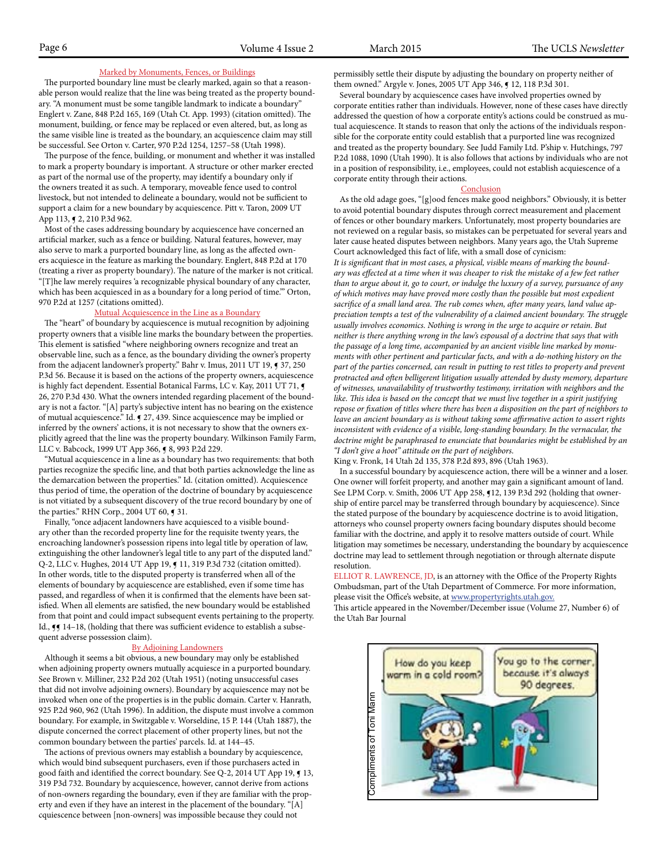#### Marked by Monuments, Fences, or Buildings

<u>Marked by Monuments, Fences, or Buildings</u><br>The purported boundary line must be clearly marked, again so that a reasonable person would realize that the line was being treated as the property boundary. "A monument must be some tangible landmark to indicate a boundary" ary. A monument must be some tangible fanumark to murcate a boundary<br>Englert v. Zane, 848 P.2d 165, 169 (Utah Ct. App. 1993) (citation omitted). The monument, building, or fence may be replaced or even altered, but, as long as the same visible line is treated as the boundary, an acquiescence claim may still the same visible line is treated as the boundary, an acquiescence claim r<br>be successful. See Orton v. Carter, 970 P.2d 1254, 1257–58 (Utah 1998).

The purpose of the fence, building, or monument and whether it was installed to mark a property boundary is important. A structure or other marker erected<br>export of the pormal we of the property, may identify a boundary only if as part of the normal use of the property, may identify a boundary only if the owners treated it as such. A temporary, moveable fence used to control livestock, but not intended to delineate a boundary, would not be sufficient to support a claim for a new boundary by acquiescence. Pitt v. Taron, 2009 UT support a claim for a flew boundary by a<br>App 113, ¶ 2, 210 P.3d 962.

 Most of the cases addressing boundary by acquiescence have concerned an artificial marker, such as a fence or building. Natural features, however, may also serve to mark a purported boundary line, as long as the affected owners acquiesce in the feature as marking the boundary. Englert, 848 P.2d at 170 (treating a river as property boundary). The nature of the marker is not critical. "[T]he law merely requires 'a recognizable physical boundary of any character, which has been acquiesced in as a boundary for a long period of time.'" Orton, 970 P.2d at 1257 (citations omitted).

## Mutual Acquiescence in the Line as a Boundary

 The "heart" of boundary by acquiescence is mutual recognition by adjoining property owners that a visible line marks the boundary between the properties. This element is satisfied "where neighboring owners recognize and treat an observable line, such as a fence, as the boundary dividing the owner's property from the adjacent landowner's property." Bahr v. Imus, 2011 UT 19,  $\P$  37, 250 P.3d 56. Because it is based on the actions of the property owners, acquiescence is highly fact dependent. Essential Botanical Farms, LC v. Kay, 2011 UT 71, 18 Inghiy fact dependent. Essential botanical Parilis, LC v. Kay, 2011 0171, ary is not a factor. "[A] party's subjective intent has no bearing on the existence of mutual acquiescence." Id.  $\sim$  27, 439. Since acquiescence may be implied or inferred by the owners' actions, it is not necessary to show that the owners explicitly agreed that the line was the property boundary. Wilkinson Family Farm, LLC v. Babcock, 1999 UT App 366, ¶ 8, 993 P.2d 229.

 $LLC$  v. BabCOCK, 1999 OT App 500,  $\frac{1}{2}$  6, 995 1.20 229.<br>
"Mutual acquiescence in a line as a boundary has two requirements: that both parties recognize the specific line, and that both parties acknowledge the line as the demarcation between the properties." Id. (citation omitted). Acquiescence thus period of time, the operation of the doctrine of boundary by acquiescence is not vitiated by a subsequent discovery of the true record boundary by one of the parties." RHN Corp., 2004 UT 60, ¶ 31.

ally parties. Kriv Corp., 2004 0 1 00, 9 51.<br>Finally, "once adjacent landowners have acquiesced to a visible boundary other than the recorded property line for the requisite twenty years, the encroaching landowner's possession ripens into legal title by operation of law, extinguishing the other landowner's legal title to any part of the disputed land." Q-2, LLC v. Hughes, 2014 UT App 19, ¶ 11, 319 P.3d 732 (citation omitted). In other words, title to the disputed property is transferred when all of the In other words, the to the disputed property is transferred when an of the<br>elements of boundary by acquiescence are established, even if some time has passed, and regardless of when it is confirmed that the elements have been satisfied. When all elements are satisfied, the new boundary would be established from that point and could impact subsequent events pertaining to the property. Id., **JJ** 14-18, (holding that there was sufficient evidence to establish a subsequent adverse possession claim).

#### By Adjoining Landowners

Although it seems a bit obvious, a new boundary may only be established when adjoining property owners mutually acquiesce in a purported boundary. See Brown v. Milliner, 232 P.2d 202 (Utah 1951) (noting unsuccessful cases that did not involve adjoining owners). Boundary by acquiescence may not be invoked when one of the properties is in the public domain. Carter v. Hanrath, mvoked when one of the properties is in the public domain. Carter v. Hanrath,<br>925 P.2d 960, 962 (Utah 1996). In addition, the dispute must involve a common boundary. For example, in Switzgable v. Worseldine, 15 P. 144 (Utah 1887), the dispute concerned the correct placement of other property lines, but not the common boundary between the parties' parcels. Id. at 144–45.

 The actions of previous owners may establish a boundary by acquiescence, which would bind subsequent purchasers, even if those purchasers acted in good faith and identified the correct boundary. See Q-2, 2014 UT App 19,  $\P$  13, 319 P3d 732. Boundary by acquiescence, however, cannot derive from actions of non-owners regarding the boundary, even if they are familiar with the property and even if they have an interest in the placement of the boundary. "[A] cquiescence between [non-owners] was impossible because they could not

permissibly settle their dispute by adjusting the boundary on property neither of them owned." Argyle v. Jones, 2005 UT App 346, ¶ 12, 118 P.3d 301.

 Several boundary by acquiescence cases have involved properties owned by corporate entities rather than individuals. However, none of these cases have directly addressed the question of how a corporate entity's actions could be construed as mutual acquiescence. It stands to reason that only the actions of the individuals responsible for the corporate entity could establish that a purported line was recognized and treated as the property boundary. See Judd Family Ltd. P'ship v. Hutchings, 797 P.2d 1088, 1090 (Utah 1990). It is also follows that actions by individuals who are not in a position of responsibility, i.e., employees, could not establish acquiescence of a corporate entity through their actions.

#### **Conclusion**

 As the old adage goes, "[g]ood fences make good neighbors." Obviously, it is better to avoid potential boundary disputes through correct measurement and placement of fences or other boundary markers. Unfortunately, most property boundaries are not reviewed on a regular basis, so mistakes can be perpetuated for several years and later cause heated disputes between neighbors. Many years ago, the Utah Supreme Court acknowledged this fact of life, with a small dose of cynicism: *It is significant that in most cases, a physical, visible means of marking the boundary was effected at a time when it was cheaper to risk the mistake of a few feet rather than to argue about it, go to court, or indulge the luxury of a survey, pursuance of any of which motives may have proved more costly than the possible but most expedient sacrifice of a small land area. The rub comes when, after many years, land value appreciation tempts a test of the vulnerability of a claimed ancient boundary. The struggle usually involves economics. Nothing is wrong in the urge to acquire or retain. But neither is there anything wrong in the law's espousal of a doctrine that says that with the passage of a long time, accompanied by an ancient visible line marked by monuments with other pertinent and particular facts, and with a do-nothing history on the part of the parties concerned, can result in putting to rest titles to property and prevent protracted and often belligerent litigation usually attended by dusty memory, departure of witnesses, unavailability of trustworthy testimony, irritation with neighbors and the like. This idea is based on the concept that we must live together in a spirit justifying repose or fixation of titles where there has been a disposition on the part of neighbors to leave an ancient boundary as is without taking some affirmative action to assert rights inconsistent with evidence of a visible, long-standing boundary. In the vernacular, the doctrine might be paraphrased to enunciate that boundaries might be established by an "I don't give a hoot" attitude on the part of neighbors*.

King v. Fronk, 14 Utah 2d 135, 378 P.2d 893, 896 (Utah 1963).

 In a successful boundary by acquiescence action, there will be a winner and a loser. One owner will forfeit property, and another may gain a significant amount of land. See LPM Corp. v. Smith, 2006 UT App 258, ¶12, 139 P.3d 292 (holding that ownership of entire parcel may be transferred through boundary by acquiescence). Since the stated purpose of the boundary by acquiescence doctrine is to avoid litigation, attorneys who counsel property owners facing boundary disputes should become familiar with the doctrine, and apply it to resolve matters outside of court. While litigation may sometimes be necessary, understanding the boundary by acquiescence doctrine may lead to settlement through negotiation or through alternate dispute resolution.

ELLIOT R. LAWRENCE, JD, is an attorney with the Office of the Property Rights Ombudsman, part of the Utah Department of Commerce. For more information, please visit the Office's website, at www.propertyrights.utah.gov.

This article appeared in the November/December issue (Volume 27, Number 6) of the Utah Bar Journal

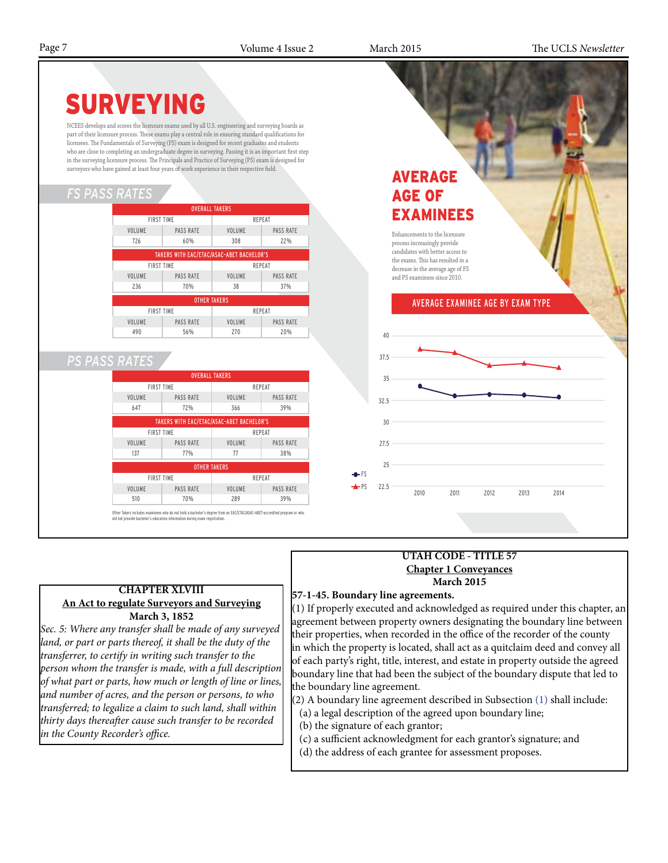Page 7 Volume 4 Issue 2 March 2015 The UCLS *Newsletter*



## **UTAH CODE - TITLE 57 Chapter 1 Conveyances March 2015**

## **57-1-45. Boundary line agreements.**

(1) If properly executed and acknowledged as required under this chapter, an agreement between property owners designating the boundary line between their properties, when recorded in the office of the recorder of the county in which the property is located, shall act as a quitclaim deed and convey all of each party's right, title, interest, and estate in property outside the agreed boundary line that had been the subject of the boundary dispute that led to the boundary line agreement.

(2) A boundary line agreement described in Subsection (1) shall include:

- (a) a legal description of the agreed upon boundary line;
- (b) the signature of each grantor;
- (c) a sufficient acknowledgment for each grantor's signature; and
- (d) the address of each grantee for assessment proposes.

## **CHAPTER XLVIII An Act to regulate Surveyors and Surveying March 3, 1852**

*Sec. 5: Where any transfer shall be made of any surveyed*  land, or part or parts thereof, it shall be the duty of the *transferrer, to certify in writing such transfer to the person whom the transfer is made, with a full description of what part or parts, how much or length of line or lines, and number of acres, and the person or persons, to who transferred; to legalize a claim to such land, shall within thirty days thereafter cause such transfer to be recorded in the County Recorder's office.*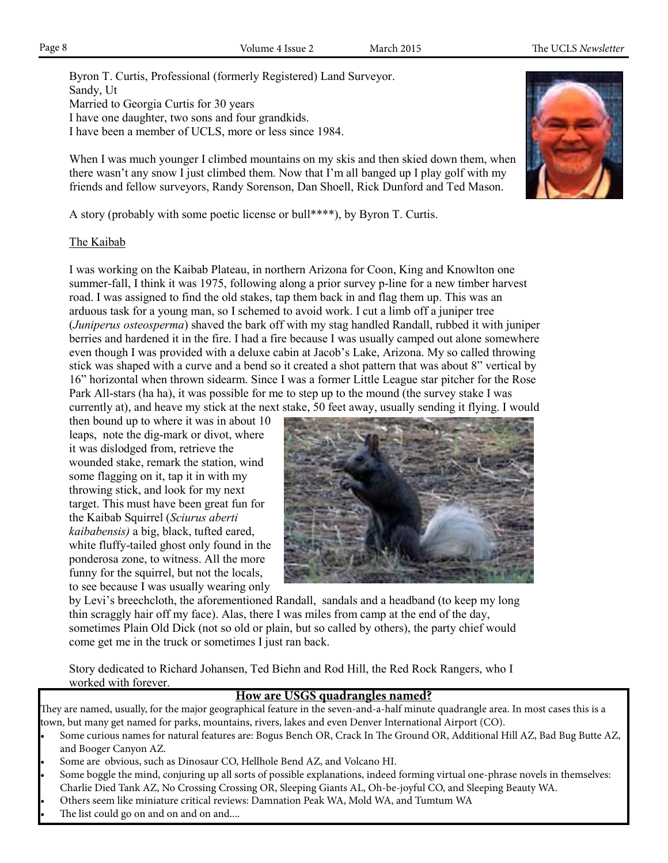Byron T. Curtis, Professional (formerly Registered) Land Surveyor. Sandy, Ut Married to Georgia Curtis for 30 years I have one daughter, two sons and four grandkids. I have been a member of UCLS, more or less since 1984.

When I was much younger I climbed mountains on my skis and then skied down them, when there wasn't any snow I just climbed them. Now that I'm all banged up I play golf with my friends and fellow surveyors, Randy Sorenson, Dan Shoell, Rick Dunford and Ted Mason.

A story (probably with some poetic license or bull\*\*\*\*), by Byron T. Curtis.

## The Kaibab

I was working on the Kaibab Plateau, in northern Arizona for Coon, King and Knowlton one summer-fall, I think it was 1975, following along a prior survey p-line for a new timber harvest road. I was assigned to find the old stakes, tap them back in and flag them up. This was an arduous task for a young man, so I schemed to avoid work. I cut a limb off a juniper tree (*Juniperus osteosperma*) shaved the bark off with my stag handled Randall, rubbed it with juniper berries and hardened it in the fire. I had a fire because I was usually camped out alone somewhere even though I was provided with a deluxe cabin at Jacob's Lake, Arizona. My so called throwing stick was shaped with a curve and a bend so it created a shot pattern that was about 8" vertical by 16" horizontal when thrown sidearm. Since I was a former Little League star pitcher for the Rose Park All-stars (ha ha), it was possible for me to step up to the mound (the survey stake I was currently at), and heave my stick at the next stake, 50 feet away, usually sending it flying. I would

then bound up to where it was in about 10 leaps, note the dig-mark or divot, where it was dislodged from, retrieve the wounded stake, remark the station, wind some flagging on it, tap it in with my throwing stick, and look for my next target. This must have been great fun for the Kaibab Squirrel (*Sciurus aberti kaibabensis)* a big, black, tufted eared, white fluffy-tailed ghost only found in the ponderosa zone, to witness. All the more funny for the squirrel, but not the locals, to see because I was usually wearing only



by Levi's breechcloth, the aforementioned Randall, sandals and a headband (to keep my long thin scraggly hair off my face). Alas, there I was miles from camp at the end of the day, sometimes Plain Old Dick (not so old or plain, but so called by others), the party chief would come get me in the truck or sometimes I just ran back.

Story dedicated to Richard Johansen, Ted Biehn and Rod Hill, the Red Rock Rangers, who I worked with forever.

## **How are USGS quadrangles named?**

They are named, usually, for the major geographical feature in the seven-and-a-half minute quadrangle area. In most cases this is a town, but many get named for parks, mountains, rivers, lakes and even Denver International Airport (CO).

- Some curious names for natural features are: Bogus Bench OR, Crack In The Ground OR, Additional Hill AZ, Bad Bug Butte AZ, and Booger Canyon AZ.
- Some are obvious, such as Dinosaur CO, Hellhole Bend AZ, and Volcano HI.
- Some boggle the mind, conjuring up all sorts of possible explanations, indeed forming virtual one-phrase novels in themselves: Charlie Died Tank AZ, No Crossing Crossing OR, Sleeping Giants AL, Oh-be-joyful CO, and Sleeping Beauty WA.
- Others seem like miniature critical reviews: Damnation Peak WA, Mold WA, and Tumtum WA
- The list could go on and on and on and....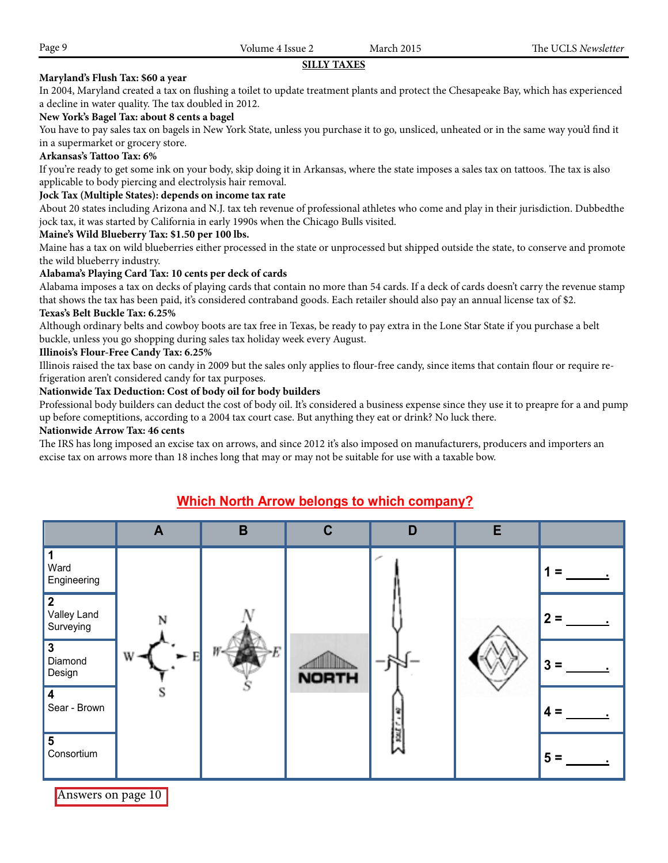## **SILLY TAXES**

## **Maryland's Flush Tax: \$60 a year**

In 2004, Maryland created a tax on flushing a toilet to update treatment plants and protect the Chesapeake Bay, which has experienced a decline in water quality. The tax doubled in 2012.

## **New York's Bagel Tax: about 8 cents a bagel**

You have to pay sales tax on bagels in New York State, unless you purchase it to go, unsliced, unheated or in the same way you'd find it in a supermarket or grocery store.

## **Arkansas's Tattoo Tax: 6%**

If you're ready to get some ink on your body, skip doing it in Arkansas, where the state imposes a sales tax on tattoos. The tax is also applicable to body piercing and electrolysis hair removal.

## **Jock Tax (Multiple States): depends on income tax rate**

About 20 states including Arizona and N.J. tax teh revenue of professional athletes who come and play in their jurisdiction. Dubbedthe jock tax, it was started by California in early 1990s when the Chicago Bulls visited.

## **Maine's Wild Blueberry Tax: \$1.50 per 100 lbs.**

Maine has a tax on wild blueberries either processed in the state or unprocessed but shipped outside the state, to conserve and promote the wild blueberry industry.

## **Alabama's Playing Card Tax: 10 cents per deck of cards**

Alabama imposes a tax on decks of playing cards that contain no more than 54 cards. If a deck of cards doesn't carry the revenue stamp that shows the tax has been paid, it's considered contraband goods. Each retailer should also pay an annual license tax of \$2. **Texas's Belt Buckle Tax: 6.25%**

Although ordinary belts and cowboy boots are tax free in Texas, be ready to pay extra in the Lone Star State if you purchase a belt buckle, unless you go shopping during sales tax holiday week every August.

## **Illinois's Flour-Free Candy Tax: 6.25%**

Illinois raised the tax base on candy in 2009 but the sales only applies to flour-free candy, since items that contain flour or require refrigeration aren't considered candy for tax purposes.

## **Nationwide Tax Deduction: Cost of body oil for body builders**

Professional body builders can deduct the cost of body oil. It's considered a business expense since they use it to preapre for a and pump up before comeptitions, according to a 2004 tax court case. But anything they eat or drink? No luck there.

## **Nationwide Arrow Tax: 46 cents**

The IRS has long imposed an excise tax on arrows, and since 2012 it's also imposed on manufacturers, producers and importers an excise tax on arrows more than 18 inches long that may or may not be suitable for use with a taxable bow.

# **A B C D E 1** Ward Engineering **1 = . 2** Valley Land<br>Surveying Surveying **2 = . 3** Diamond  $D$ esign  $\left| \begin{array}{cc} 0 & \lambda \end{array} \right|$   $\left| \begin{array}{cc} \lambda & \lambda \end{array} \right|$   $\left| \begin{array}{cc} \lambda & \lambda \end{array} \right|$   $\left| \begin{array}{cc} \lambda & \lambda \end{array} \right|$   $\left| \begin{array}{cc} \lambda & \lambda \end{array} \right|$   $\left| \begin{array}{cc} \lambda & \lambda \end{array} \right|$   $\left| \begin{array}{cc} \lambda & \lambda \end{array} \right|$   $\left| \begin{array}{cc} \lambda & \lambda \end{array} \right|$   $\left|$ **4**<br>Sear - Brown Sear - Brown **4 = . 5** Consortium **5 = .**

## **Which North Arrow belongs to which company?**

Answers on page 10